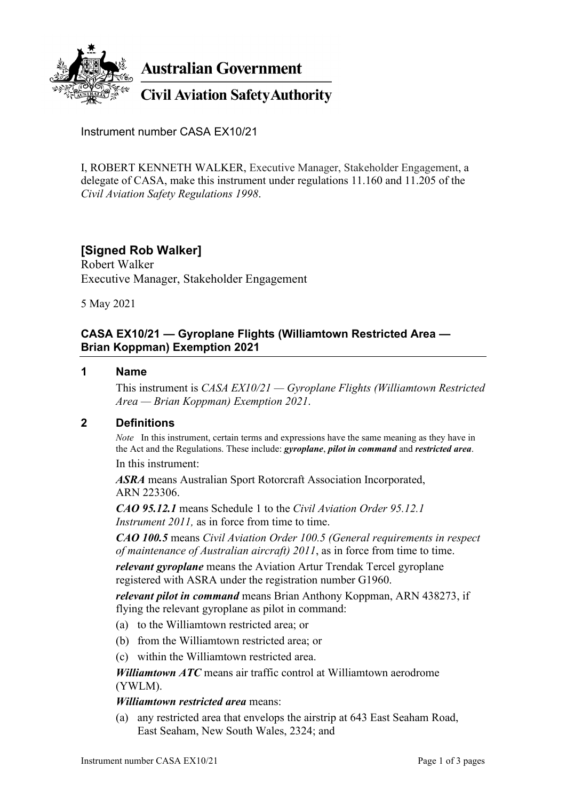

**Australian Government** 

**Civil Aviation Safety Authority** 

Instrument number CASA EX10/21

I, ROBERT KENNETH WALKER, Executive Manager, Stakeholder Engagement, a delegate of CASA, make this instrument under regulations 11.160 and 11.205 of the *Civil Aviation Safety Regulations 1998*.

# **[Signed Rob Walker]**

Robert Walker Executive Manager, Stakeholder Engagement

5 May 2021

### **CASA EX10/21 — Gyroplane Flights (Williamtown Restricted Area — Brian Koppman) Exemption 2021**

#### **1 Name**

This instrument is *CASA EX10/21 — Gyroplane Flights (Williamtown Restricted Area — Brian Koppman) Exemption 2021*.

### **2 Definitions**

*Note* In this instrument, certain terms and expressions have the same meaning as they have in the Act and the Regulations. These include: *gyroplane*, *pilot in command* and *restricted area*.

In this instrument:

*ASRA* means Australian Sport Rotorcraft Association Incorporated, ARN 223306.

*CAO 95.12.1* means Schedule 1 to the *Civil Aviation Order 95.12.1 Instrument* 2011, as in force from time to time.

*CAO 100.5* means *Civil Aviation Order 100.5 (General requirements in respect of maintenance of Australian aircraft) 2011*, as in force from time to time.

*relevant gyroplane* means the Aviation Artur Trendak Tercel gyroplane registered with ASRA under the registration number G1960.

*relevant pilot in command* means Brian Anthony Koppman, ARN 438273, if flying the relevant gyroplane as pilot in command:

- (a) to the Williamtown restricted area; or
- (b) from the Williamtown restricted area; or
- (c) within the Williamtown restricted area.

*Williamtown ATC* means air traffic control at Williamtown aerodrome (YWLM).

*Williamtown restricted area* means:

(a) any restricted area that envelops the airstrip at 643 East Seaham Road, East Seaham, New South Wales, 2324; and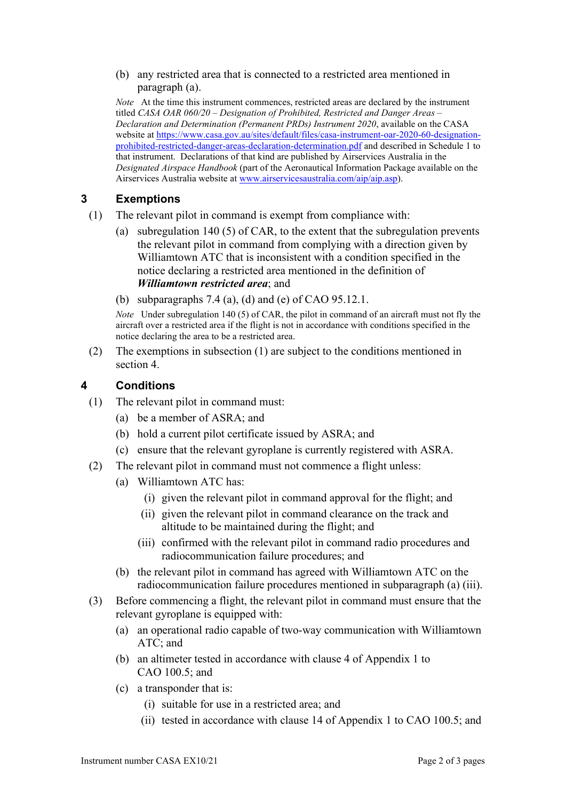(b) any restricted area that is connected to a restricted area mentioned in paragraph (a).

*Note* At the time this instrument commences, restricted areas are declared by the instrument titled *CASA OAR 060/20 – Designation of Prohibited, Restricted and Danger Areas – Declaration and Determination (Permanent PRDs) Instrument 2020*, available on the CASA website a[t https://www.casa.gov.au/sites/default/files/casa-instrument-oar-2020-60-designation](https://www.casa.gov.au/sites/default/files/casa-instrument-oar-2020-60-designation-prohibited-restricted-danger-areas-declaration-determination.pdf)[prohibited-restricted-danger-areas-declaration-determination.pdf](https://www.casa.gov.au/sites/default/files/casa-instrument-oar-2020-60-designation-prohibited-restricted-danger-areas-declaration-determination.pdf) and described in Schedule 1 to that instrument. Declarations of that kind are published by Airservices Australia in the *Designated Airspace Handbook* (part of the Aeronautical Information Package available on the Airservices Australia website at [www.airservicesaustralia.com/aip/aip.asp\)](https://www.airservicesaustralia.com/aip/aip.asp).

### **3 Exemptions**

- (1) The relevant pilot in command is exempt from compliance with:
	- (a) subregulation 140 (5) of CAR, to the extent that the subregulation prevents the relevant pilot in command from complying with a direction given by Williamtown ATC that is inconsistent with a condition specified in the notice declaring a restricted area mentioned in the definition of *Williamtown restricted area*; and
	- (b) subparagraphs 7.4 (a), (d) and (e) of CAO 95.12.1.

*Note* Under subregulation 140 (5) of CAR, the pilot in command of an aircraft must not fly the aircraft over a restricted area if the flight is not in accordance with conditions specified in the notice declaring the area to be a restricted area.

(2) The exemptions in subsection (1) are subject to the conditions mentioned in section 4.

### **4 Conditions**

- (1) The relevant pilot in command must:
	- (a) be a member of ASRA; and
	- (b) hold a current pilot certificate issued by ASRA; and
	- (c) ensure that the relevant gyroplane is currently registered with ASRA.
- (2) The relevant pilot in command must not commence a flight unless:
	- (a) Williamtown ATC has:
		- (i) given the relevant pilot in command approval for the flight; and
		- (ii) given the relevant pilot in command clearance on the track and altitude to be maintained during the flight; and
		- (iii) confirmed with the relevant pilot in command radio procedures and radiocommunication failure procedures; and
	- (b) the relevant pilot in command has agreed with Williamtown ATC on the radiocommunication failure procedures mentioned in subparagraph (a) (iii).
- (3) Before commencing a flight, the relevant pilot in command must ensure that the relevant gyroplane is equipped with:
	- (a) an operational radio capable of two-way communication with Williamtown ATC; and
	- (b) an altimeter tested in accordance with clause 4 of Appendix 1 to CAO 100.5; and
	- (c) a transponder that is:
		- (i) suitable for use in a restricted area; and
		- (ii) tested in accordance with clause 14 of Appendix 1 to CAO 100.5; and